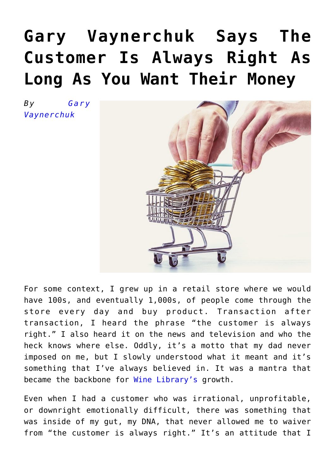## **[Gary Vaynerchuk Says The](https://www.commpro.biz/gary-vaynerchuk-says-the-customer-is-always-right-as-long-as-you-want-their-money/) [Customer Is Always Right As](https://www.commpro.biz/gary-vaynerchuk-says-the-customer-is-always-right-as-long-as-you-want-their-money/) [Long As You Want Their Money](https://www.commpro.biz/gary-vaynerchuk-says-the-customer-is-always-right-as-long-as-you-want-their-money/)**

*By [Gary](https://garyvaynerchuk.com/biography) [Vaynerchuk](https://garyvaynerchuk.com/biography)*



For some context, I grew up in a retail store where we would have 100s, and eventually 1,000s, of people come through the store every day and buy product. Transaction after transaction, I heard the phrase "the customer is always right." I also heard it on the news and television and who the heck knows where else. Oddly, it's a motto that my dad never imposed on me, but I slowly understood what it meant and it's something that I've always believed in. It was a mantra that became the backbone for [Wine Library's](https://winelibrary.com/?mkwid=sDMztdp8Y_dc&pcrid=58468979929&pmt=b&keyword=winelibrary%20.com&src=%5Boffer%5D&gclid=CPGPv8XE0MwCFUokhgodHGIO6w) growth.

Even when I had a customer who was irrational, unprofitable, or downright emotionally difficult, there was something that was inside of my gut, my DNA, that never allowed me to waiver from "the customer is always right." It's an attitude that I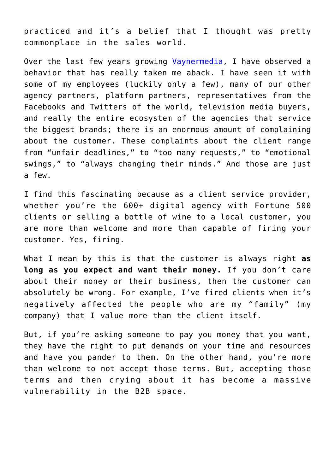practiced and it's a belief that I thought was pretty commonplace in the sales world.

Over the last few years growing [Vaynermedia](https://vaynermedia.com/), I have observed a behavior that has really taken me aback. I have seen it with some of my employees (luckily only a few), many of our other agency partners, platform partners, representatives from the Facebooks and Twitters of the world, television media buyers, and really the entire ecosystem of the agencies that service the biggest brands; there is an enormous amount of complaining about the customer. These complaints about the client range from "unfair deadlines," to "too many requests," to "emotional swings," to "always changing their minds." And those are just a few.

I find this fascinating because as a client service provider, whether you're the 600+ digital agency with Fortune 500 clients or selling a bottle of wine to a local customer, you are more than welcome and more than capable of firing your customer. Yes, firing.

What I mean by this is that the customer is always right **as long as you expect and want their money.** If you don't care about their money or their business, then the customer can absolutely be wrong. For example, I've fired clients when it's negatively affected the people who are my "family" (my company) that I value more than the client itself.

But, if you're asking someone to pay you money that you want, they have the right to put demands on your time and resources and have you pander to them. On the other hand, you're more than welcome to not accept those terms. But, accepting those terms and then crying about it has become a massive vulnerability in the B2B space.